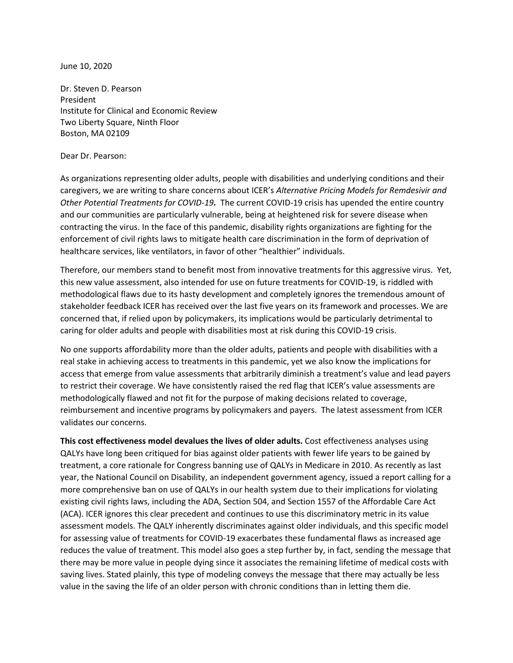June 10, 2020

Dr. Steven D. Pearson President Institute for Clinical and Economic Review Two Liberty Square, Ninth Floor Boston, MA 02109

## Dear Dr. Pearson:

As organizations representing older adults, people with disabilities and underlying conditions and their caregivers, we are writing to share concerns about ICER's *Alternative Pricing Models for Remdesivir and Other Potential Treatments for COVID-19.* The current COVID-19 crisis has upended the entire country and our communities are particularly vulnerable, being at heightened risk for severe disease when contracting the virus. In the face of this pandemic, disability rights organizations are fighting for the enforcement of civil rights laws to mitigate health care discrimination in the form of deprivation of healthcare services, like ventilators, in favor of other "healthier" individuals.

Therefore, our members stand to benefit most from innovative treatments for this aggressive virus. Yet, this new value assessment, also intended for use on future treatments for COVID-19, is riddled with methodological flaws due to its hasty development and completely ignores the tremendous amount of stakeholder feedback ICER has received over the last five years on its framework and processes. We are concerned that, if relied upon by policymakers, its implications would be particularly detrimental to caring for older adults and people with disabilities most at risk during this COVID-19 crisis.

No one supports affordability more than the older adults, patients and people with disabilities with a real stake in achieving access to treatments in this pandemic, yet we also know the implications for access that emerge from value assessments that arbitrarily diminish a treatment's value and lead payers to restrict their coverage. We have consistently raised the red flag that ICER's value assessments are methodologically flawed and not fit for the purpose of making decisions related to coverage, reimbursement and incentive programs by policymakers and payers. The latest assessment from ICER validates our concerns.

**This cost effectiveness model devalues the lives of older adults.** Cost effectiveness analyses using QALYs have long been critiqued for bias against older patients with fewer life years to be gained by treatment, a core rationale for Congress banning use of QALYs in Medicare in 2010. As recently as last year, the National Council on Disability, an independent government agency, issued a report calling for a more comprehensive ban on use of QALYs in our health system due to their implications for violating existing civil rights laws, including the ADA, Section 504, and Section 1557 of the Affordable Care Act (ACA). ICER ignores this clear precedent and continues to use this discriminatory metric in its value assessment models. The QALY inherently discriminates against older individuals, and this specific model for assessing value of treatments for COVID-19 exacerbates these fundamental flaws as increased age reduces the value of treatment. This model also goes a step further by, in fact, sending the message that there may be more value in people dying since it associates the remaining lifetime of medical costs with saving lives. Stated plainly, this type of modeling conveys the message that there may actually be less value in the saving the life of an older person with chronic conditions than in letting them die.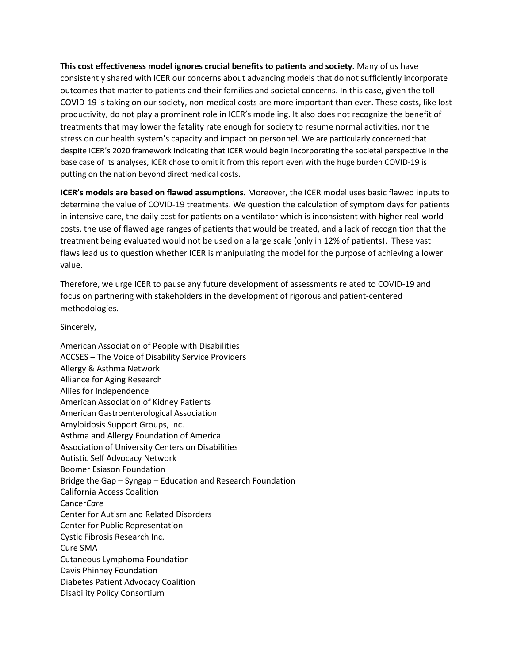**This cost effectiveness model ignores crucial benefits to patients and society.** Many of us have consistently shared with ICER our concerns about advancing models that do not sufficiently incorporate outcomes that matter to patients and their families and societal concerns. In this case, given the toll COVID-19 is taking on our society, non-medical costs are more important than ever. These costs, like lost productivity, do not play a prominent role in ICER's modeling. It also does not recognize the benefit of treatments that may lower the fatality rate enough for society to resume normal activities, nor the stress on our health system's capacity and impact on personnel. We are particularly concerned that despite ICER's 2020 framework indicating that ICER would begin incorporating the societal perspective in the base case of its analyses, ICER chose to omit it from this report even with the huge burden COVID-19 is putting on the nation beyond direct medical costs.

**ICER's models are based on flawed assumptions.** Moreover, the ICER model uses basic flawed inputs to determine the value of COVID-19 treatments. We question the calculation of symptom days for patients in intensive care, the daily cost for patients on a ventilator which is inconsistent with higher real-world costs, the use of flawed age ranges of patients that would be treated, and a lack of recognition that the treatment being evaluated would not be used on a large scale (only in 12% of patients). These vast flaws lead us to question whether ICER is manipulating the model for the purpose of achieving a lower value.

Therefore, we urge ICER to pause any future development of assessments related to COVID-19 and focus on partnering with stakeholders in the development of rigorous and patient-centered methodologies.

## Sincerely,

American Association of People with Disabilities ACCSES – The Voice of Disability Service Providers Allergy & Asthma Network Alliance for Aging Research Allies for Independence American Association of Kidney Patients American Gastroenterological Association Amyloidosis Support Groups, Inc. Asthma and Allergy Foundation of America Association of University Centers on Disabilities Autistic Self Advocacy Network Boomer Esiason Foundation Bridge the Gap – Syngap – Education and Research Foundation California Access Coalition Cancer*Care* Center for Autism and Related Disorders Center for Public Representation Cystic Fibrosis Research Inc. Cure SMA Cutaneous Lymphoma Foundation Davis Phinney Foundation Diabetes Patient Advocacy Coalition Disability Policy Consortium